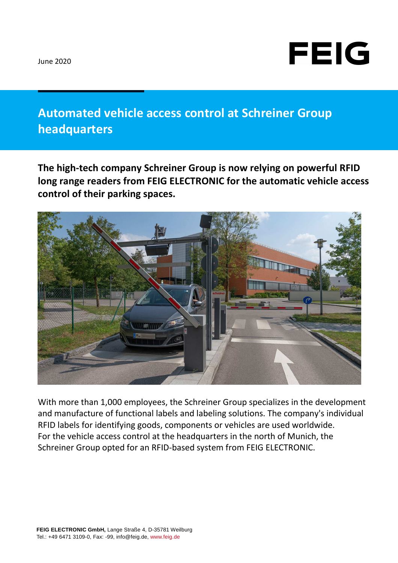

## **Automated vehicle access control at Schreiner Group headquarters**

**The high-tech company Schreiner Group is now relying on powerful RFID long range readers from FEIG ELECTRONIC for the automatic vehicle access control of their parking spaces.** 



With more than 1,000 employees, the Schreiner Group specializes in the development and manufacture of functional labels and labeling solutions. The company's individual RFID labels for identifying goods, components or vehicles are used worldwide. For the vehicle access control at the headquarters in the north of Munich, the Schreiner Group opted for an RFID-based system from FEIG ELECTRONIC.